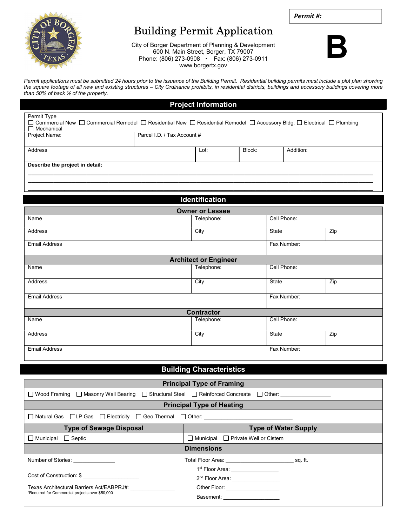Permit #:



## Building Permit Application

City of Borger Department of Planning & Development 600 N. Main Street, Borger, TX 79007 Phone: (806) 273-0908 · Fax: (806) 273-0911 www.borgertx.gov



Permit applications must be submitted 24 hours prior to the issuance of the Building Permit. Residential building permits must include a plot plan showing the square footage of all new and existing structures – City Ordinance prohibits, in residential districts, buildings and accessory buildings covering more than 50% of back ½ of the property.

## Project Information

| Permit Type<br>$\Box$ Mechanical |                             |        | □ Commercial New □ Commercial Remodel □ Residential New □ Residential Remodel □ Accessory Bldg. □ Electrical □ Plumbing |  |  |
|----------------------------------|-----------------------------|--------|-------------------------------------------------------------------------------------------------------------------------|--|--|
| Project Name:                    | Parcel I.D. / Tax Account # |        |                                                                                                                         |  |  |
| Address                          |                             | Block: | Addition:                                                                                                               |  |  |
|                                  | Lot:                        |        |                                                                                                                         |  |  |
| Describe the project in detail:  |                             |        |                                                                                                                         |  |  |

\_\_\_\_\_\_\_\_\_\_\_\_\_\_\_\_\_\_\_\_\_\_\_\_\_\_\_\_\_\_\_\_\_\_\_\_\_\_\_\_\_\_\_\_\_\_\_\_\_\_\_\_\_\_\_**\_\_\_\_\_\_\_\_\_\_\_\_\_\_\_\_\_\_\_\_\_\_\_\_\_\_\_\_\_\_\_\_\_\_\_\_\_**\_\_

|                      | <b>Identification</b>        |             |     |  |  |
|----------------------|------------------------------|-------------|-----|--|--|
|                      | <b>Owner or Lessee</b>       |             |     |  |  |
| Name                 | Telephone:                   | Cell Phone: |     |  |  |
| Address              | City                         | State       | Zip |  |  |
| Email Address        |                              | Fax Number: |     |  |  |
|                      | <b>Architect or Engineer</b> |             |     |  |  |
| Name                 | Telephone:                   | Cell Phone: |     |  |  |
| Address              | City                         | State       | Zip |  |  |
| <b>Email Address</b> |                              | Fax Number: |     |  |  |
|                      | <b>Contractor</b>            |             |     |  |  |
| Name                 | Telephone:                   | Cell Phone: |     |  |  |
| Address              | City                         | State       | Zip |  |  |
| <b>Email Address</b> |                              | Fax Number: |     |  |  |

## Building Characteristics

|                                                                                          | <b>Principal Type of Framing</b>                |  |  |  |  |  |
|------------------------------------------------------------------------------------------|-------------------------------------------------|--|--|--|--|--|
| □ Wood Framing □ Masonry Wall Bearing □ Structural Steel □ Reinforced Concreate □ Other: |                                                 |  |  |  |  |  |
|                                                                                          | <b>Principal Type of Heating</b>                |  |  |  |  |  |
| □ Natural Gas □LP Gas □ Electricity □ Geo Thermal □ Other: _____________________         |                                                 |  |  |  |  |  |
| <b>Type of Sewage Disposal</b>                                                           | <b>Type of Water Supply</b>                     |  |  |  |  |  |
| $\Box$ Municipal $\Box$ Septic                                                           | $\Box$ Municipal $\Box$ Private Well or Cistern |  |  |  |  |  |
| <b>Dimensions</b>                                                                        |                                                 |  |  |  |  |  |
| Number of Stories: <u>___________</u>                                                    |                                                 |  |  |  |  |  |
|                                                                                          | 1 <sup>st</sup> Floor Area: _________________   |  |  |  |  |  |
| Cost of Construction: \$                                                                 | 2 <sup>nd</sup> Floor Area: <u>__________</u>   |  |  |  |  |  |
| Texas Architectural Barriers Act/EABPRJ#:                                                | Other Floor: ____________________               |  |  |  |  |  |
| *Required for Commercial projects over \$50,000                                          | Basement: <b>Example 20</b>                     |  |  |  |  |  |